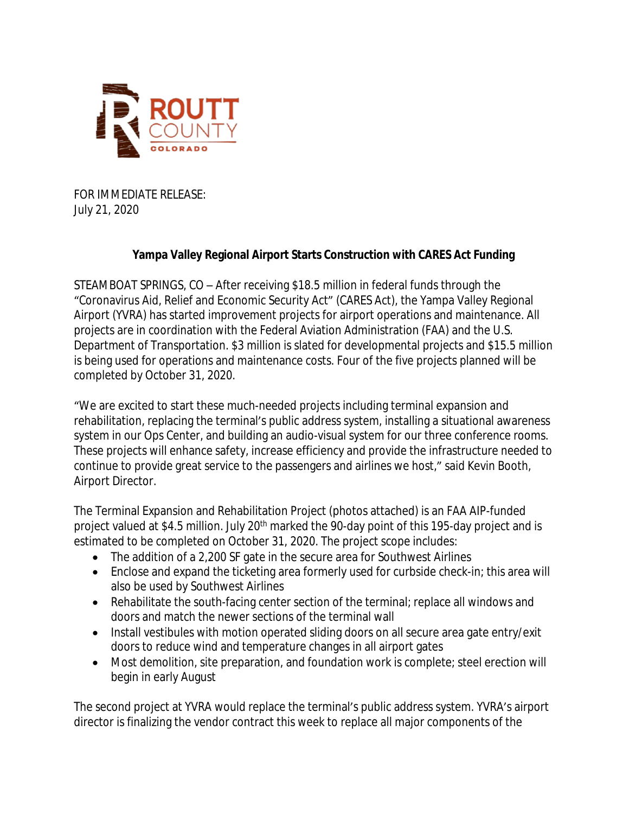

FOR IMMEDIATE RELEASE: July 21, 2020

## **Yampa Valley Regional Airport Starts Construction with CARES Act Funding**

STEAMBOAT SPRINGS, CO – After receiving \$18.5 million in federal funds through the "Coronavirus Aid, Relief and Economic Security Act" (CARES Act), the Yampa Valley Regional Airport (YVRA) has started improvement projects for airport operations and maintenance. All projects are in coordination with the Federal Aviation Administration (FAA) and the U.S. Department of Transportation. \$3 million is slated for developmental projects and \$15.5 million is being used for operations and maintenance costs. Four of the five projects planned will be completed by October 31, 2020.

"We are excited to start these much-needed projects including terminal expansion and rehabilitation, replacing the terminal's public address system, installing a situational awareness system in our Ops Center, and building an audio-visual system for our three conference rooms. These projects will enhance safety, increase efficiency and provide the infrastructure needed to continue to provide great service to the passengers and airlines we host," said Kevin Booth, Airport Director.

The Terminal Expansion and Rehabilitation Project (photos attached) is an FAA AIP-funded project valued at \$4.5 million. July 20<sup>th</sup> marked the 90-day point of this 195-day project and is estimated to be completed on October 31, 2020. The project scope includes:

- The addition of a 2,200 SF gate in the secure area for Southwest Airlines
- Enclose and expand the ticketing area formerly used for curbside check-in; this area will also be used by Southwest Airlines
- Rehabilitate the south-facing center section of the terminal; replace all windows and doors and match the newer sections of the terminal wall
- Install vestibules with motion operated sliding doors on all secure area gate entry/exit doors to reduce wind and temperature changes in all airport gates
- Most demolition, site preparation, and foundation work is complete; steel erection will begin in early August

The second project at YVRA would replace the terminal's public address system. YVRA's airport director is finalizing the vendor contract this week to replace all major components of the